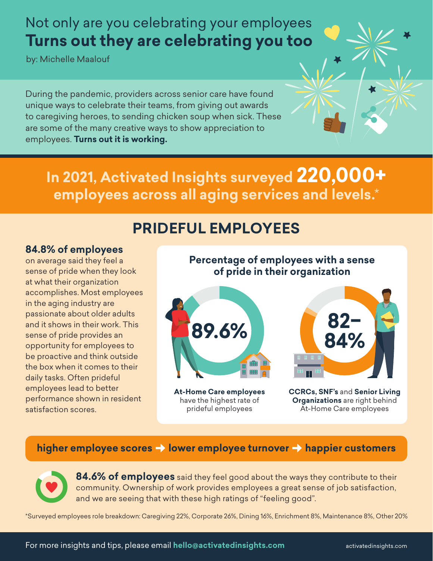## Not only are you celebrating your employees **Turns out they are celebrating you too**

by: Michelle Maalouf

During the pandemic, providers across senior care have found unique ways to celebrate their teams, from giving out awards to caregiving heroes, to sending chicken soup when sick. These are some of the many creative ways to show appreciation to employees. **Turns out it is working.**

**In 2021, Activated Insights surveyed 220,000+ employees across all aging services and levels.**\*

### **PRIDEFUL EMPLOYEES**

#### **84.8% of employees**

on average said they feel a sense of pride when they look at what their organization accomplishes. Most employees in the aging industry are passionate about older adults and it shows in their work. This sense of pride provides an opportunity for employees to be proactive and think outside the box when it comes to their daily tasks. Often prideful employees lead to better performance shown in resident satisfaction scores.

#### **Percentage of employees with a sense of pride in their organization**



**At-Home Care employees** have the highest rate of prideful employees



**CCRCs, SNF's** and **Senior Living Organizations** are right behind At-Home Care employees

#### higher employee scores  $\rightarrow$  lower employee turnover  $\rightarrow$  happier customers



**84.6% of employees** said they feel good about the ways they contribute to their community. Ownership of work provides employees a great sense of job satisfaction, and we are seeing that with these high ratings of "feeling good".

\*Surveyed employees role breakdown: Caregiving 22%, Corporate 26%, Dining 16%, Enrichment 8%, Maintenance 8%, Other 20%